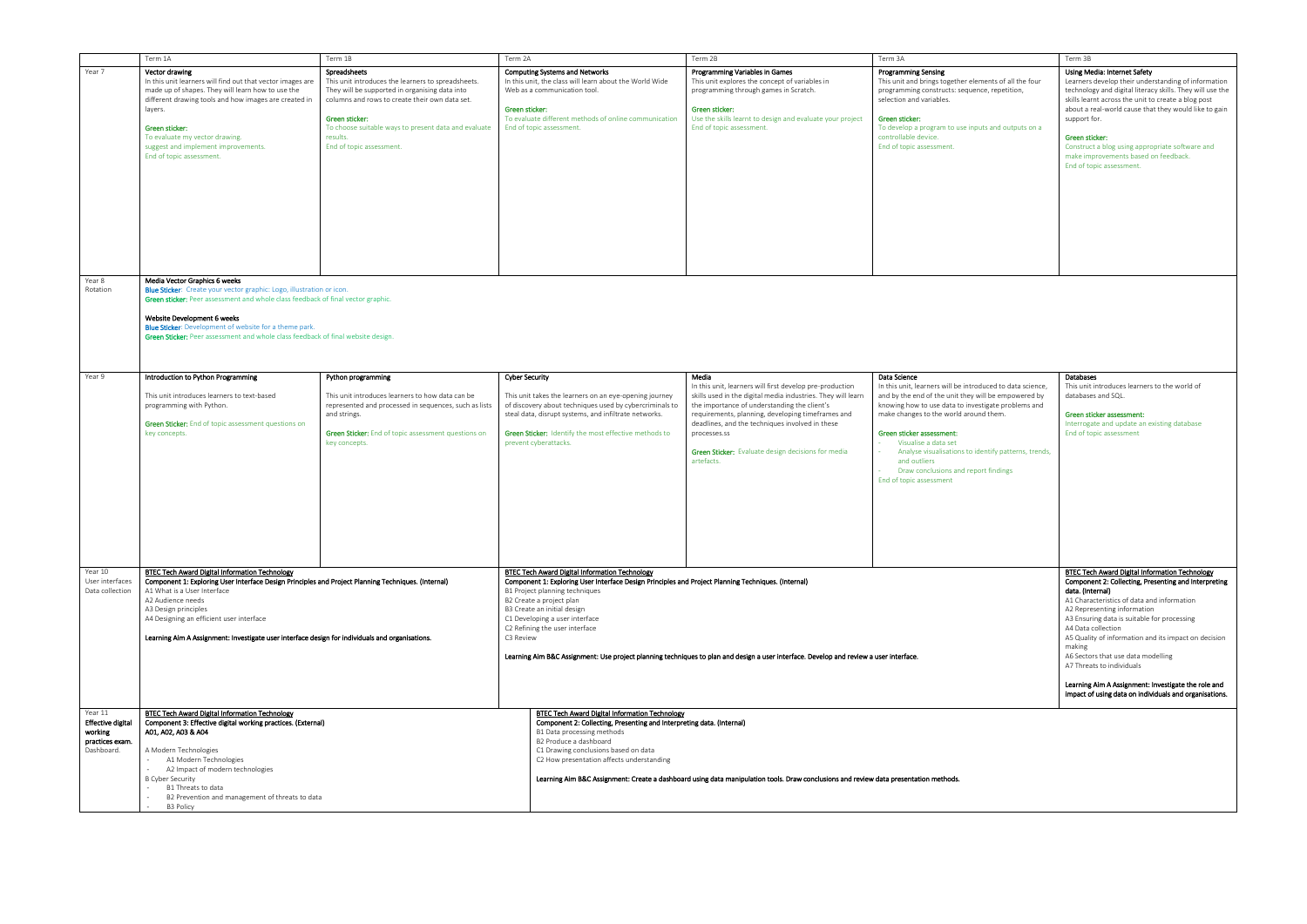|                          | Term 1A                                                                                                                                                 | Term 1B                                               | Term 2A                                                                                                                       | Term 2B                                                                                                                                | Term 3A                                                    | Term 3B                                                   |  |  |
|--------------------------|---------------------------------------------------------------------------------------------------------------------------------------------------------|-------------------------------------------------------|-------------------------------------------------------------------------------------------------------------------------------|----------------------------------------------------------------------------------------------------------------------------------------|------------------------------------------------------------|-----------------------------------------------------------|--|--|
|                          |                                                                                                                                                         |                                                       |                                                                                                                               |                                                                                                                                        |                                                            |                                                           |  |  |
| Year 7                   | Vector drawing                                                                                                                                          | Spreadsheets                                          | <b>Computing Systems and Networks</b>                                                                                         | Programming Variables in Games                                                                                                         | <b>Programming Sensing</b>                                 | Using Media: Internet Safety                              |  |  |
|                          | In this unit learners will find out that vector images are                                                                                              | This unit introduces the learners to spreadsheets.    | In this unit, the class will learn about the World Wide                                                                       | This unit explores the concept of variables in                                                                                         | This unit and brings together elements of all the four     | Learners develop their understanding of information       |  |  |
|                          | made up of shapes. They will learn how to use the                                                                                                       | They will be supported in organising data into        | Web as a communication tool.                                                                                                  | programming through games in Scratch.                                                                                                  | programming constructs: sequence, repetition,              | technology and digital literacy skills. They will use the |  |  |
|                          | different drawing tools and how images are created in                                                                                                   | columns and rows to create their own data set.        |                                                                                                                               |                                                                                                                                        | selection and variables.                                   | skills learnt across the unit to create a blog post       |  |  |
|                          | layers.                                                                                                                                                 |                                                       | Green sticker:                                                                                                                | Green sticker:                                                                                                                         |                                                            | about a real-world cause that they would like to gain     |  |  |
|                          |                                                                                                                                                         | Green sticker:                                        | To evaluate different methods of online communication                                                                         | Use the skills learnt to design and evaluate your project                                                                              | Green sticker:                                             | support for.                                              |  |  |
|                          | Green sticker:                                                                                                                                          | To choose suitable ways to present data and evaluate  | End of topic assessment.                                                                                                      | End of topic assessment.                                                                                                               | To develop a program to use inputs and outputs on a        |                                                           |  |  |
|                          |                                                                                                                                                         |                                                       |                                                                                                                               |                                                                                                                                        |                                                            |                                                           |  |  |
|                          | To evaluate my vector drawing.                                                                                                                          | results.                                              |                                                                                                                               |                                                                                                                                        | controllable device.                                       | Green sticker:                                            |  |  |
|                          | suggest and implement improvements.                                                                                                                     | End of topic assessment.                              |                                                                                                                               |                                                                                                                                        | End of topic assessment.                                   | Construct a blog using appropriate software and           |  |  |
|                          | End of topic assessment.                                                                                                                                |                                                       |                                                                                                                               |                                                                                                                                        |                                                            | make improvements based on feedback.                      |  |  |
|                          |                                                                                                                                                         |                                                       |                                                                                                                               |                                                                                                                                        |                                                            | End of topic assessment.                                  |  |  |
|                          |                                                                                                                                                         |                                                       |                                                                                                                               |                                                                                                                                        |                                                            |                                                           |  |  |
|                          |                                                                                                                                                         |                                                       |                                                                                                                               |                                                                                                                                        |                                                            |                                                           |  |  |
|                          |                                                                                                                                                         |                                                       |                                                                                                                               |                                                                                                                                        |                                                            |                                                           |  |  |
|                          |                                                                                                                                                         |                                                       |                                                                                                                               |                                                                                                                                        |                                                            |                                                           |  |  |
|                          |                                                                                                                                                         |                                                       |                                                                                                                               |                                                                                                                                        |                                                            |                                                           |  |  |
|                          |                                                                                                                                                         |                                                       |                                                                                                                               |                                                                                                                                        |                                                            |                                                           |  |  |
|                          |                                                                                                                                                         |                                                       |                                                                                                                               |                                                                                                                                        |                                                            |                                                           |  |  |
|                          |                                                                                                                                                         |                                                       |                                                                                                                               |                                                                                                                                        |                                                            |                                                           |  |  |
|                          |                                                                                                                                                         |                                                       |                                                                                                                               |                                                                                                                                        |                                                            |                                                           |  |  |
|                          |                                                                                                                                                         |                                                       |                                                                                                                               |                                                                                                                                        |                                                            |                                                           |  |  |
|                          |                                                                                                                                                         |                                                       |                                                                                                                               |                                                                                                                                        |                                                            |                                                           |  |  |
|                          |                                                                                                                                                         |                                                       |                                                                                                                               |                                                                                                                                        |                                                            |                                                           |  |  |
| Year 8                   | Media Vector Graphics 6 weeks                                                                                                                           |                                                       |                                                                                                                               |                                                                                                                                        |                                                            |                                                           |  |  |
| Rotation                 | Blue Sticker: Create your vector graphic: Logo, illustration or icon.                                                                                   |                                                       |                                                                                                                               |                                                                                                                                        |                                                            |                                                           |  |  |
|                          | Green sticker: Peer assessment and whole class feedback of final vector graphic.                                                                        |                                                       |                                                                                                                               |                                                                                                                                        |                                                            |                                                           |  |  |
|                          |                                                                                                                                                         |                                                       |                                                                                                                               |                                                                                                                                        |                                                            |                                                           |  |  |
|                          | Website Development 6 weeks                                                                                                                             |                                                       |                                                                                                                               |                                                                                                                                        |                                                            |                                                           |  |  |
|                          | Blue Sticker: Development of website for a theme park.                                                                                                  |                                                       |                                                                                                                               |                                                                                                                                        |                                                            |                                                           |  |  |
|                          | Green Sticker: Peer assessment and whole class feedback of final website design.                                                                        |                                                       |                                                                                                                               |                                                                                                                                        |                                                            |                                                           |  |  |
|                          |                                                                                                                                                         |                                                       |                                                                                                                               |                                                                                                                                        |                                                            |                                                           |  |  |
|                          |                                                                                                                                                         |                                                       |                                                                                                                               |                                                                                                                                        |                                                            |                                                           |  |  |
|                          |                                                                                                                                                         |                                                       |                                                                                                                               |                                                                                                                                        |                                                            |                                                           |  |  |
| Year 9                   | Introduction to Python Programming                                                                                                                      | Python programming                                    | <b>Cyber Security</b>                                                                                                         | Media                                                                                                                                  | Data Science                                               | Databases                                                 |  |  |
|                          |                                                                                                                                                         |                                                       |                                                                                                                               | In this unit, learners will first develop pre-production                                                                               | In this unit, learners will be introduced to data science, | This unit introduces learners to the world of             |  |  |
|                          |                                                                                                                                                         |                                                       |                                                                                                                               |                                                                                                                                        |                                                            |                                                           |  |  |
|                          | This unit introduces learners to text-based                                                                                                             | This unit introduces learners to how data can be      | This unit takes the learners on an eye-opening journey                                                                        | skills used in the digital media industries. They will learn                                                                           | and by the end of the unit they will be empowered by       | databases and SQL.                                        |  |  |
|                          | programming with Python.                                                                                                                                | represented and processed in sequences, such as lists | of discovery about techniques used by cybercriminals to                                                                       | the importance of understanding the client's                                                                                           | knowing how to use data to investigate problems and        |                                                           |  |  |
|                          |                                                                                                                                                         | and strings.                                          | steal data, disrupt systems, and infiltrate networks.                                                                         | requirements, planning, developing timeframes and                                                                                      | make changes to the world around them.                     | Green sticker assessment:                                 |  |  |
|                          | Green Sticker: End of topic assessment questions on                                                                                                     |                                                       |                                                                                                                               | deadlines, and the techniques involved in these                                                                                        |                                                            | Interrogate and update an existing database               |  |  |
|                          | key concepts.                                                                                                                                           | Green Sticker: End of topic assessment questions on   | Green Sticker: Identify the most effective methods to                                                                         | processes.ss                                                                                                                           | Green sticker assessment:                                  | End of topic assessment                                   |  |  |
|                          |                                                                                                                                                         | key concepts.                                         | prevent cyberattacks.                                                                                                         |                                                                                                                                        | Visualise a data set                                       |                                                           |  |  |
|                          |                                                                                                                                                         |                                                       |                                                                                                                               | Green Sticker: Evaluate design decisions for media                                                                                     | Analyse visualisations to identify patterns, trends,       |                                                           |  |  |
|                          |                                                                                                                                                         |                                                       |                                                                                                                               | artefacts.                                                                                                                             | and outliers                                               |                                                           |  |  |
|                          |                                                                                                                                                         |                                                       |                                                                                                                               |                                                                                                                                        | Draw conclusions and report findings                       |                                                           |  |  |
|                          |                                                                                                                                                         |                                                       |                                                                                                                               |                                                                                                                                        | End of topic assessment                                    |                                                           |  |  |
|                          |                                                                                                                                                         |                                                       |                                                                                                                               |                                                                                                                                        |                                                            |                                                           |  |  |
|                          |                                                                                                                                                         |                                                       |                                                                                                                               |                                                                                                                                        |                                                            |                                                           |  |  |
|                          |                                                                                                                                                         |                                                       |                                                                                                                               |                                                                                                                                        |                                                            |                                                           |  |  |
|                          |                                                                                                                                                         |                                                       |                                                                                                                               |                                                                                                                                        |                                                            |                                                           |  |  |
|                          |                                                                                                                                                         |                                                       |                                                                                                                               |                                                                                                                                        |                                                            |                                                           |  |  |
|                          |                                                                                                                                                         |                                                       |                                                                                                                               |                                                                                                                                        |                                                            |                                                           |  |  |
|                          |                                                                                                                                                         |                                                       |                                                                                                                               |                                                                                                                                        |                                                            |                                                           |  |  |
|                          |                                                                                                                                                         |                                                       |                                                                                                                               |                                                                                                                                        |                                                            |                                                           |  |  |
|                          |                                                                                                                                                         |                                                       |                                                                                                                               |                                                                                                                                        |                                                            |                                                           |  |  |
|                          |                                                                                                                                                         |                                                       |                                                                                                                               |                                                                                                                                        |                                                            |                                                           |  |  |
| Year 10                  | BTEC Tech Award Digital Information Technology                                                                                                          |                                                       | BTEC Tech Award Digital Information Technology                                                                                |                                                                                                                                        |                                                            | <b>BTEC Tech Award Digital Information Technology</b>     |  |  |
| User interfaces          | Component 1: Exploring User Interface Design Principles and Project Planning Techniques. (Internal)<br>A1 What is a User Interface<br>A2 Audience needs |                                                       | Component 1: Exploring User Interface Design Principles and Project Planning Techniques. (Internal)                           |                                                                                                                                        |                                                            | Component 2: Collecting, Presenting and Interpreting      |  |  |
| Data collection          |                                                                                                                                                         |                                                       | B1 Project planning techniques                                                                                                |                                                                                                                                        |                                                            | data. (Internal)                                          |  |  |
|                          |                                                                                                                                                         |                                                       | B2 Create a project plan                                                                                                      | A1 Characteristics of data and information                                                                                             |                                                            |                                                           |  |  |
|                          | A3 Design principles                                                                                                                                    |                                                       | B3 Create an initial design                                                                                                   |                                                                                                                                        |                                                            | A2 Representing information                               |  |  |
|                          | A4 Designing an efficient user interface                                                                                                                |                                                       | C1 Developing a user interface                                                                                                |                                                                                                                                        |                                                            | A3 Ensuring data is suitable for processing               |  |  |
|                          |                                                                                                                                                         |                                                       | C2 Refining the user interface                                                                                                |                                                                                                                                        |                                                            | A4 Data collection                                        |  |  |
|                          | Learning Aim A Assignment: Investigate user interface design for individuals and organisations.                                                         |                                                       | C3 Review                                                                                                                     |                                                                                                                                        |                                                            | A5 Quality of information and its impact on decision      |  |  |
|                          |                                                                                                                                                         |                                                       |                                                                                                                               |                                                                                                                                        |                                                            | making                                                    |  |  |
|                          |                                                                                                                                                         |                                                       |                                                                                                                               | Learning Aim B&C Assignment: Use project planning techniques to plan and design a user interface. Develop and review a user interface. |                                                            | A6 Sectors that use data modelling                        |  |  |
|                          |                                                                                                                                                         |                                                       |                                                                                                                               |                                                                                                                                        |                                                            | A7 Threats to individuals                                 |  |  |
|                          |                                                                                                                                                         |                                                       |                                                                                                                               |                                                                                                                                        |                                                            |                                                           |  |  |
|                          |                                                                                                                                                         |                                                       |                                                                                                                               |                                                                                                                                        |                                                            | Learning Aim A Assignment: Investigate the role and       |  |  |
|                          |                                                                                                                                                         |                                                       |                                                                                                                               |                                                                                                                                        |                                                            | impact of using data on individuals and organisations.    |  |  |
|                          |                                                                                                                                                         |                                                       |                                                                                                                               |                                                                                                                                        |                                                            |                                                           |  |  |
|                          |                                                                                                                                                         |                                                       |                                                                                                                               |                                                                                                                                        |                                                            |                                                           |  |  |
| Year 11                  | <b>BTEC Tech Award Digital Information Technology</b><br>Component 3: Effective digital working practices. (External)<br>A01, A02, A03 & A04            |                                                       | <b>BTEC Tech Award Digital Information Technology</b>                                                                         |                                                                                                                                        |                                                            |                                                           |  |  |
| <b>Effective digital</b> |                                                                                                                                                         |                                                       | Component 2: Collecting, Presenting and Interpreting data. (Internal)<br>B1 Data processing methods<br>B2 Produce a dashboard |                                                                                                                                        |                                                            |                                                           |  |  |
| working                  |                                                                                                                                                         |                                                       |                                                                                                                               |                                                                                                                                        |                                                            |                                                           |  |  |
| practices exam.          |                                                                                                                                                         |                                                       |                                                                                                                               |                                                                                                                                        |                                                            |                                                           |  |  |
| Dashboard.               | A Modern Technologies                                                                                                                                   |                                                       | C1 Drawing conclusions based on data<br>C2 How presentation affects understanding                                             |                                                                                                                                        |                                                            |                                                           |  |  |
|                          | $\sim$<br>A1 Modern Technologies                                                                                                                        |                                                       |                                                                                                                               |                                                                                                                                        |                                                            |                                                           |  |  |
|                          | A2 Impact of modern technologies<br>$\sim$                                                                                                              |                                                       |                                                                                                                               |                                                                                                                                        |                                                            |                                                           |  |  |
|                          | <b>B Cyber Security</b>                                                                                                                                 |                                                       |                                                                                                                               | Learning Aim B&C Assignment: Create a dashboard using data manipulation tools. Draw conclusions and review data presentation methods.  |                                                            |                                                           |  |  |
|                          | $\sim$<br>B1 Threats to data                                                                                                                            |                                                       |                                                                                                                               |                                                                                                                                        |                                                            |                                                           |  |  |
|                          | B2 Prevention and management of threats to data<br>$\sim$                                                                                               |                                                       |                                                                                                                               |                                                                                                                                        |                                                            |                                                           |  |  |
|                          | <b>B3 Policy</b>                                                                                                                                        |                                                       |                                                                                                                               |                                                                                                                                        |                                                            |                                                           |  |  |

|                                      | Term 3B                                                                                                                                                                                                                                                                          |
|--------------------------------------|----------------------------------------------------------------------------------------------------------------------------------------------------------------------------------------------------------------------------------------------------------------------------------|
| nts of all the four<br>, repetition, | Using Media: Internet Safety<br>Learners develop their understanding of information<br>technology and digital literacy skills. They will use the<br>skills learnt across the unit to create a blog post<br>about a real-world cause that they would like to gain<br>support for. |
| and outputs on a                     |                                                                                                                                                                                                                                                                                  |
|                                      | Green sticker:<br>Construct a blog using appropriate software and<br>make improvements based on feedback.<br>End of topic assessment.                                                                                                                                            |